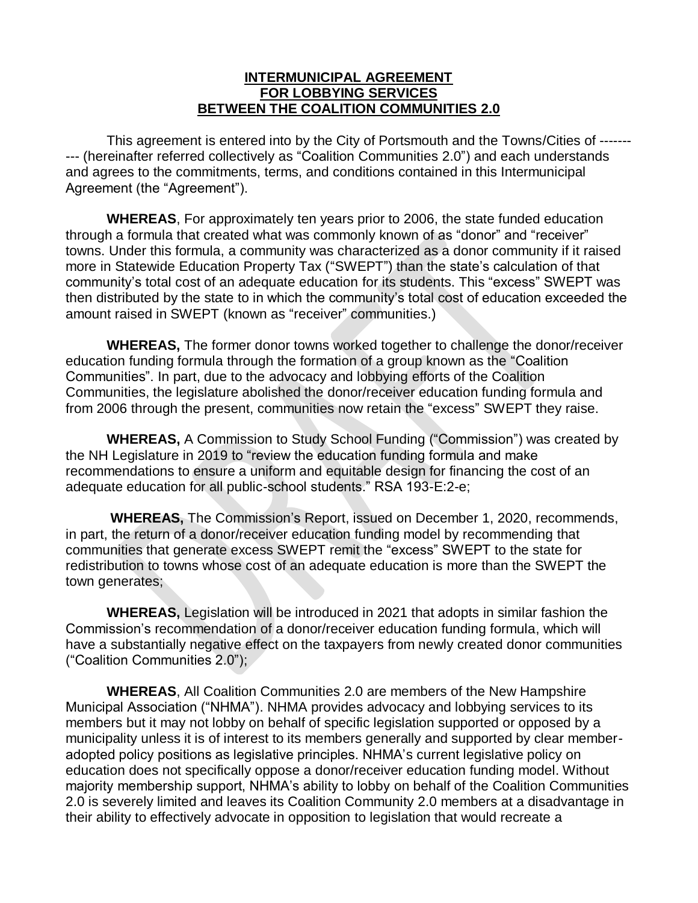#### **INTERMUNICIPAL AGREEMENT FOR LOBBYING SERVICES BETWEEN THE COALITION COMMUNITIES 2.0**

This agreement is entered into by the City of Portsmouth and the Towns/Cities of ------- --- (hereinafter referred collectively as "Coalition Communities 2.0") and each understands and agrees to the commitments, terms, and conditions contained in this Intermunicipal Agreement (the "Agreement").

**WHEREAS**, For approximately ten years prior to 2006, the state funded education through a formula that created what was commonly known of as "donor" and "receiver" towns. Under this formula, a community was characterized as a donor community if it raised more in Statewide Education Property Tax ("SWEPT") than the state's calculation of that community's total cost of an adequate education for its students. This "excess" SWEPT was then distributed by the state to in which the community's total cost of education exceeded the amount raised in SWEPT (known as "receiver" communities.)

**WHEREAS,** The former donor towns worked together to challenge the donor/receiver education funding formula through the formation of a group known as the "Coalition Communities". In part, due to the advocacy and lobbying efforts of the Coalition Communities, the legislature abolished the donor/receiver education funding formula and from 2006 through the present, communities now retain the "excess" SWEPT they raise.

**WHEREAS,** A Commission to Study School Funding ("Commission") was created by the NH Legislature in 2019 to "review the education funding formula and make recommendations to ensure a uniform and equitable design for financing the cost of an adequate education for all public-school students." RSA 193-E:2-e;

**WHEREAS,** The Commission's Report, issued on December 1, 2020, recommends, in part, the return of a donor/receiver education funding model by recommending that communities that generate excess SWEPT remit the "excess" SWEPT to the state for redistribution to towns whose cost of an adequate education is more than the SWEPT the town generates;

**WHEREAS,** Legislation will be introduced in 2021 that adopts in similar fashion the Commission's recommendation of a donor/receiver education funding formula, which will have a substantially negative effect on the taxpayers from newly created donor communities ("Coalition Communities 2.0");

**WHEREAS**, All Coalition Communities 2.0 are members of the New Hampshire Municipal Association ("NHMA"). NHMA provides advocacy and lobbying services to its members but it may not lobby on behalf of specific legislation supported or opposed by a municipality unless it is of interest to its members generally and supported by clear memberadopted policy positions as legislative principles. NHMA's current legislative policy on education does not specifically oppose a donor/receiver education funding model. Without majority membership support, NHMA's ability to lobby on behalf of the Coalition Communities 2.0 is severely limited and leaves its Coalition Community 2.0 members at a disadvantage in their ability to effectively advocate in opposition to legislation that would recreate a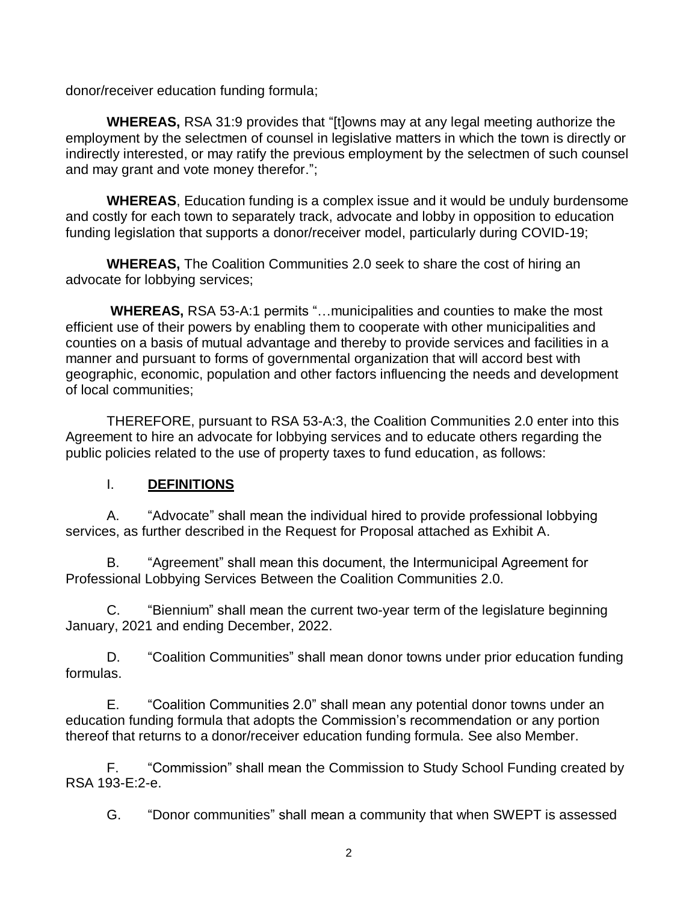donor/receiver education funding formula;

**WHEREAS,** RSA 31:9 provides that "[t]owns may at any legal meeting authorize the employment by the selectmen of counsel in legislative matters in which the town is directly or indirectly interested, or may ratify the previous employment by the selectmen of such counsel and may grant and vote money therefor.";

**WHEREAS**, Education funding is a complex issue and it would be unduly burdensome and costly for each town to separately track, advocate and lobby in opposition to education funding legislation that supports a donor/receiver model, particularly during COVID-19;

**WHEREAS,** The Coalition Communities 2.0 seek to share the cost of hiring an advocate for lobbying services;

**WHEREAS,** RSA 53-A:1 permits "…municipalities and counties to make the most efficient use of their powers by enabling them to cooperate with other municipalities and counties on a basis of mutual advantage and thereby to provide services and facilities in a manner and pursuant to forms of governmental organization that will accord best with geographic, economic, population and other factors influencing the needs and development of local communities;

THEREFORE, pursuant to RSA 53-A:3, the Coalition Communities 2.0 enter into this Agreement to hire an advocate for lobbying services and to educate others regarding the public policies related to the use of property taxes to fund education, as follows:

#### I. **DEFINITIONS**

A. "Advocate" shall mean the individual hired to provide professional lobbying services, as further described in the Request for Proposal attached as Exhibit A.

B. "Agreement" shall mean this document, the Intermunicipal Agreement for Professional Lobbying Services Between the Coalition Communities 2.0.

C. "Biennium" shall mean the current two-year term of the legislature beginning January, 2021 and ending December, 2022.

D. "Coalition Communities" shall mean donor towns under prior education funding formulas.

E. "Coalition Communities 2.0" shall mean any potential donor towns under an education funding formula that adopts the Commission's recommendation or any portion thereof that returns to a donor/receiver education funding formula. See also Member.

F. "Commission" shall mean the Commission to Study School Funding created by RSA 193-E:2-e.

G. "Donor communities" shall mean a community that when SWEPT is assessed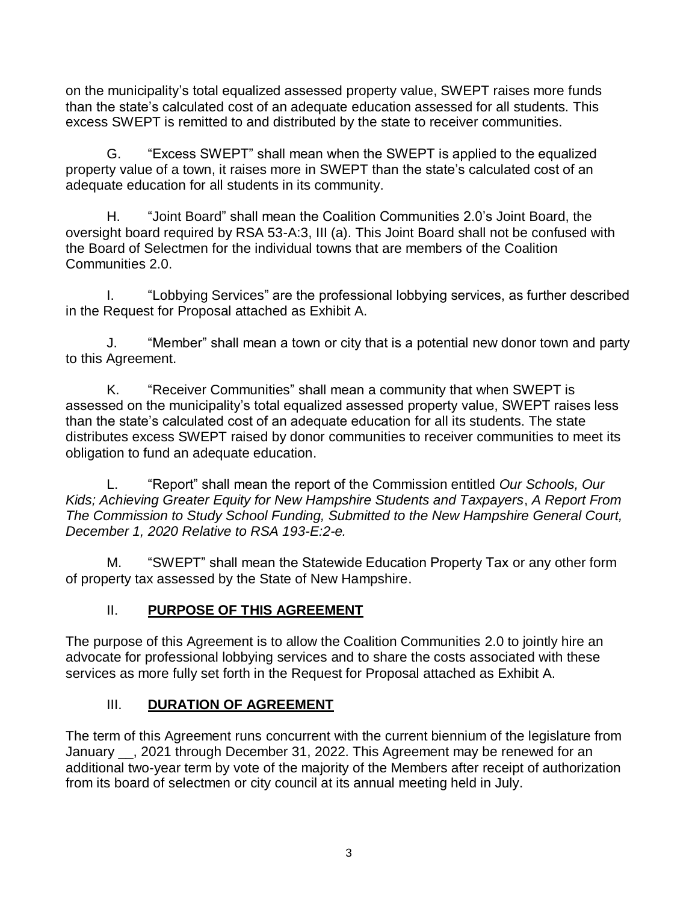on the municipality's total equalized assessed property value, SWEPT raises more funds than the state's calculated cost of an adequate education assessed for all students. This excess SWEPT is remitted to and distributed by the state to receiver communities.

G. "Excess SWEPT" shall mean when the SWEPT is applied to the equalized property value of a town, it raises more in SWEPT than the state's calculated cost of an adequate education for all students in its community.

H. "Joint Board" shall mean the Coalition Communities 2.0's Joint Board, the oversight board required by RSA 53-A:3, III (a). This Joint Board shall not be confused with the Board of Selectmen for the individual towns that are members of the Coalition Communities 2.0.

I. "Lobbying Services" are the professional lobbying services, as further described in the Request for Proposal attached as Exhibit A.

J. "Member" shall mean a town or city that is a potential new donor town and party to this Agreement.

K. "Receiver Communities" shall mean a community that when SWEPT is assessed on the municipality's total equalized assessed property value, SWEPT raises less than the state's calculated cost of an adequate education for all its students. The state distributes excess SWEPT raised by donor communities to receiver communities to meet its obligation to fund an adequate education.

L. "Report" shall mean the report of the Commission entitled *Our Schools, Our Kids; Achieving Greater Equity for New Hampshire Students and Taxpayers*, *A Report From The Commission to Study School Funding, Submitted to the New Hampshire General Court, December 1, 2020 Relative to RSA 193-E:2-e.*

M. "SWEPT" shall mean the Statewide Education Property Tax or any other form of property tax assessed by the State of New Hampshire.

# II. **PURPOSE OF THIS AGREEMENT**

The purpose of this Agreement is to allow the Coalition Communities 2.0 to jointly hire an advocate for professional lobbying services and to share the costs associated with these services as more fully set forth in the Request for Proposal attached as Exhibit A.

# **III.** DURATION OF AGREEMENT

The term of this Agreement runs concurrent with the current biennium of the legislature from January \_\_, 2021 through December 31, 2022. This Agreement may be renewed for an additional two-year term by vote of the majority of the Members after receipt of authorization from its board of selectmen or city council at its annual meeting held in July.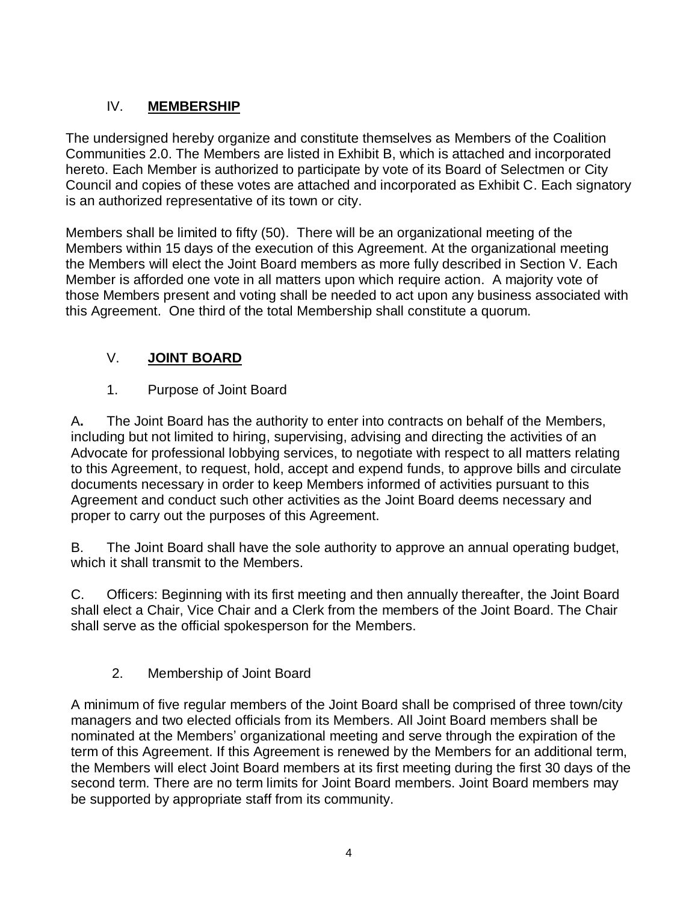# IV. **MEMBERSHIP**

The undersigned hereby organize and constitute themselves as Members of the Coalition Communities 2.0. The Members are listed in Exhibit B, which is attached and incorporated hereto. Each Member is authorized to participate by vote of its Board of Selectmen or City Council and copies of these votes are attached and incorporated as Exhibit C. Each signatory is an authorized representative of its town or city.

Members shall be limited to fifty (50). There will be an organizational meeting of the Members within 15 days of the execution of this Agreement. At the organizational meeting the Members will elect the Joint Board members as more fully described in Section V. Each Member is afforded one vote in all matters upon which require action. A majority vote of those Members present and voting shall be needed to act upon any business associated with this Agreement. One third of the total Membership shall constitute a quorum.

# V. **JOINT BOARD**

# 1. Purpose of Joint Board

A**.** The Joint Board has the authority to enter into contracts on behalf of the Members, including but not limited to hiring, supervising, advising and directing the activities of an Advocate for professional lobbying services, to negotiate with respect to all matters relating to this Agreement, to request, hold, accept and expend funds, to approve bills and circulate documents necessary in order to keep Members informed of activities pursuant to this Agreement and conduct such other activities as the Joint Board deems necessary and proper to carry out the purposes of this Agreement.

B. The Joint Board shall have the sole authority to approve an annual operating budget, which it shall transmit to the Members.

C. Officers: Beginning with its first meeting and then annually thereafter, the Joint Board shall elect a Chair, Vice Chair and a Clerk from the members of the Joint Board. The Chair shall serve as the official spokesperson for the Members.

# 2. Membership of Joint Board

A minimum of five regular members of the Joint Board shall be comprised of three town/city managers and two elected officials from its Members. All Joint Board members shall be nominated at the Members' organizational meeting and serve through the expiration of the term of this Agreement. If this Agreement is renewed by the Members for an additional term, the Members will elect Joint Board members at its first meeting during the first 30 days of the second term. There are no term limits for Joint Board members. Joint Board members may be supported by appropriate staff from its community.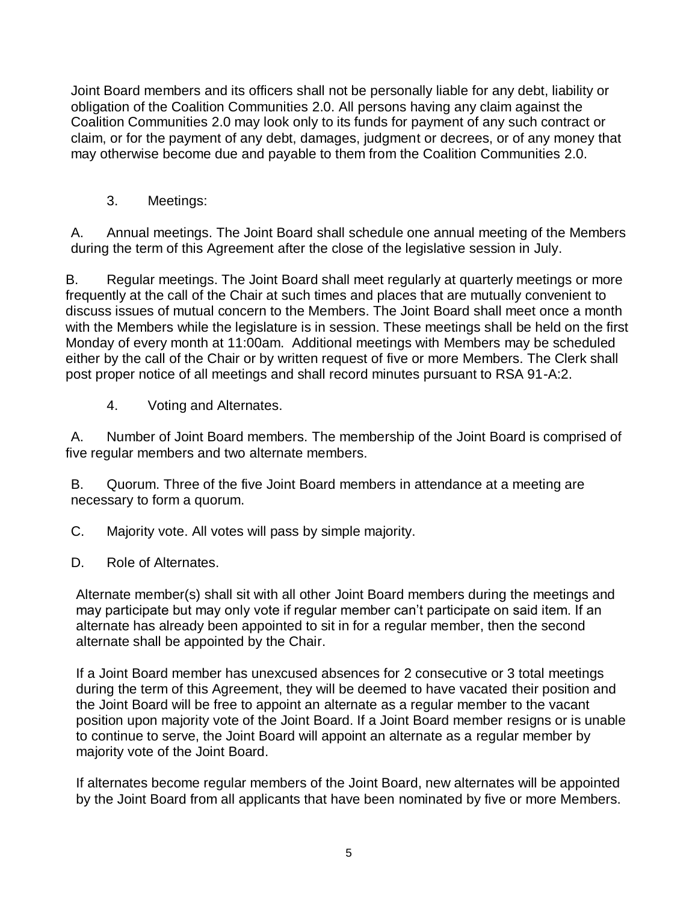Joint Board members and its officers shall not be personally liable for any debt, liability or obligation of the Coalition Communities 2.0. All persons having any claim against the Coalition Communities 2.0 may look only to its funds for payment of any such contract or claim, or for the payment of any debt, damages, judgment or decrees, or of any money that may otherwise become due and payable to them from the Coalition Communities 2.0.

3. Meetings:

A. Annual meetings. The Joint Board shall schedule one annual meeting of the Members during the term of this Agreement after the close of the legislative session in July.

B. Regular meetings. The Joint Board shall meet regularly at quarterly meetings or more frequently at the call of the Chair at such times and places that are mutually convenient to discuss issues of mutual concern to the Members. The Joint Board shall meet once a month with the Members while the legislature is in session. These meetings shall be held on the first Monday of every month at 11:00am. Additional meetings with Members may be scheduled either by the call of the Chair or by written request of five or more Members. The Clerk shall post proper notice of all meetings and shall record minutes pursuant to RSA 91-A:2.

4. Voting and Alternates.

A. Number of Joint Board members. The membership of the Joint Board is comprised of five regular members and two alternate members.

B. Quorum. Three of the five Joint Board members in attendance at a meeting are necessary to form a quorum.

C. Majority vote. All votes will pass by simple majority.

D. Role of Alternates.

Alternate member(s) shall sit with all other Joint Board members during the meetings and may participate but may only vote if regular member can't participate on said item. If an alternate has already been appointed to sit in for a regular member, then the second alternate shall be appointed by the Chair.

If a Joint Board member has unexcused absences for 2 consecutive or 3 total meetings during the term of this Agreement, they will be deemed to have vacated their position and the Joint Board will be free to appoint an alternate as a regular member to the vacant position upon majority vote of the Joint Board. If a Joint Board member resigns or is unable to continue to serve, the Joint Board will appoint an alternate as a regular member by majority vote of the Joint Board.

If alternates become regular members of the Joint Board, new alternates will be appointed by the Joint Board from all applicants that have been nominated by five or more Members.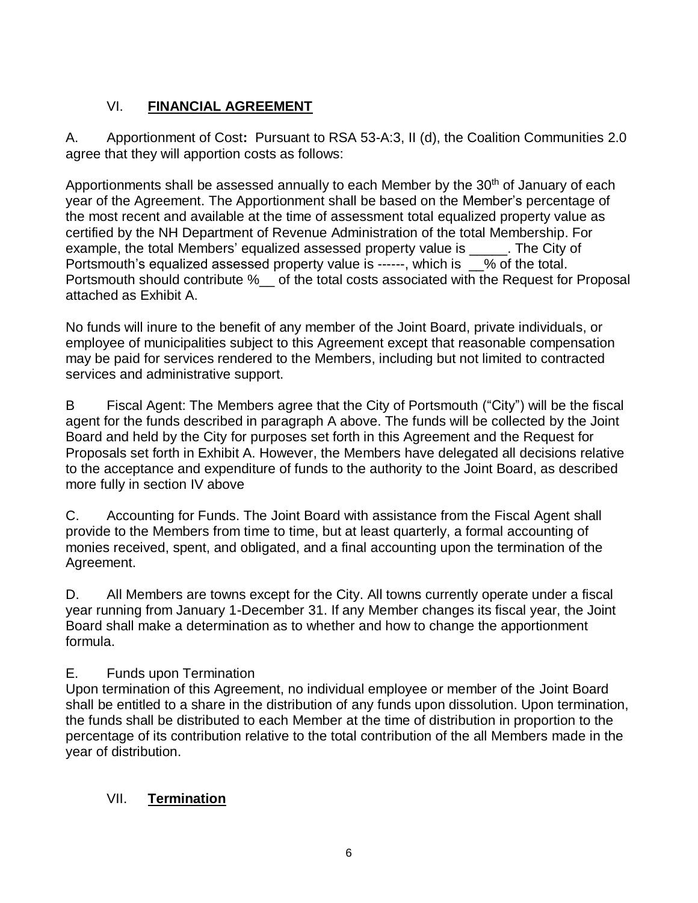# VI. **FINANCIAL AGREEMENT**

A. Apportionment of Cost**:** Pursuant to RSA 53-A:3, II (d), the Coalition Communities 2.0 agree that they will apportion costs as follows:

Apportionments shall be assessed annually to each Member by the 30<sup>th</sup> of January of each year of the Agreement. The Apportionment shall be based on the Member's percentage of the most recent and available at the time of assessment total equalized property value as certified by the NH Department of Revenue Administration of the total Membership. For example, the total Members' equalized assessed property value is \_\_\_\_\_. The City of Portsmouth's equalized assessed property value is ------, which is  $\_\%$  of the total. Portsmouth should contribute %\_\_ of the total costs associated with the Request for Proposal attached as Exhibit A.

No funds will inure to the benefit of any member of the Joint Board, private individuals, or employee of municipalities subject to this Agreement except that reasonable compensation may be paid for services rendered to the Members, including but not limited to contracted services and administrative support.

B Fiscal Agent: The Members agree that the City of Portsmouth ("City") will be the fiscal agent for the funds described in paragraph A above. The funds will be collected by the Joint Board and held by the City for purposes set forth in this Agreement and the Request for Proposals set forth in Exhibit A. However, the Members have delegated all decisions relative to the acceptance and expenditure of funds to the authority to the Joint Board, as described more fully in section IV above

C. Accounting for Funds. The Joint Board with assistance from the Fiscal Agent shall provide to the Members from time to time, but at least quarterly, a formal accounting of monies received, spent, and obligated, and a final accounting upon the termination of the Agreement.

D. All Members are towns except for the City. All towns currently operate under a fiscal year running from January 1-December 31. If any Member changes its fiscal year, the Joint Board shall make a determination as to whether and how to change the apportionment formula.

# E. Funds upon Termination

Upon termination of this Agreement, no individual employee or member of the Joint Board shall be entitled to a share in the distribution of any funds upon dissolution. Upon termination, the funds shall be distributed to each Member at the time of distribution in proportion to the percentage of its contribution relative to the total contribution of the all Members made in the year of distribution.

# VII. **Termination**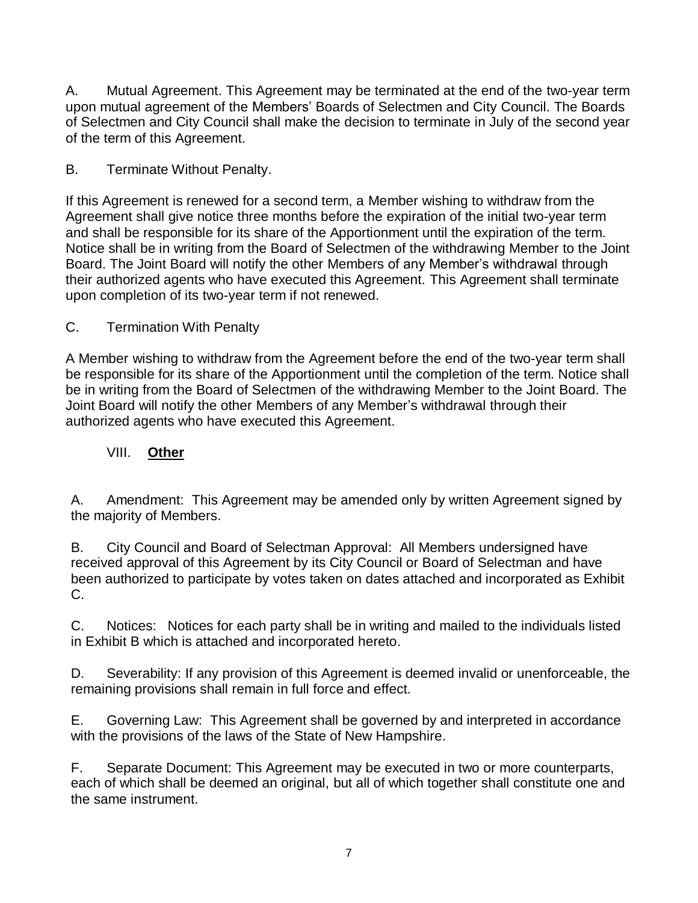A. Mutual Agreement. This Agreement may be terminated at the end of the two-year term upon mutual agreement of the Members' Boards of Selectmen and City Council. The Boards of Selectmen and City Council shall make the decision to terminate in July of the second year of the term of this Agreement.

#### B. Terminate Without Penalty.

If this Agreement is renewed for a second term, a Member wishing to withdraw from the Agreement shall give notice three months before the expiration of the initial two-year term and shall be responsible for its share of the Apportionment until the expiration of the term. Notice shall be in writing from the Board of Selectmen of the withdrawing Member to the Joint Board. The Joint Board will notify the other Members of any Member's withdrawal through their authorized agents who have executed this Agreement. This Agreement shall terminate upon completion of its two-year term if not renewed.

#### C. Termination With Penalty

A Member wishing to withdraw from the Agreement before the end of the two-year term shall be responsible for its share of the Apportionment until the completion of the term. Notice shall be in writing from the Board of Selectmen of the withdrawing Member to the Joint Board. The Joint Board will notify the other Members of any Member's withdrawal through their authorized agents who have executed this Agreement.

#### VIII. **Other**

A. Amendment: This Agreement may be amended only by written Agreement signed by the majority of Members.

B. City Council and Board of Selectman Approval: All Members undersigned have received approval of this Agreement by its City Council or Board of Selectman and have been authorized to participate by votes taken on dates attached and incorporated as Exhibit C.

C. Notices: Notices for each party shall be in writing and mailed to the individuals listed in Exhibit B which is attached and incorporated hereto.

D. Severability: If any provision of this Agreement is deemed invalid or unenforceable, the remaining provisions shall remain in full force and effect.

E. Governing Law: This Agreement shall be governed by and interpreted in accordance with the provisions of the laws of the State of New Hampshire.

F. Separate Document: This Agreement may be executed in two or more counterparts, each of which shall be deemed an original, but all of which together shall constitute one and the same instrument.